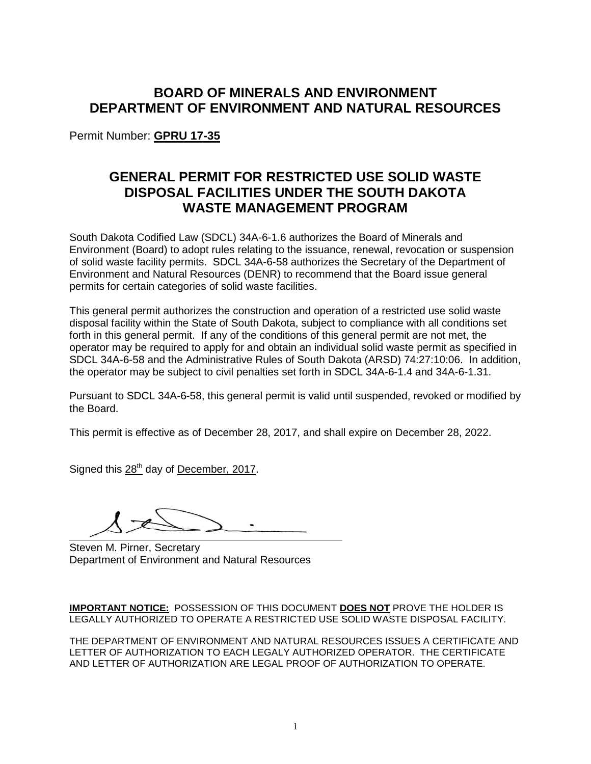# **BOARD OF MINERALS AND ENVIRONMENT DEPARTMENT OF ENVIRONMENT AND NATURAL RESOURCES**

Permit Number: **GPRU 17-35**

# **GENERAL PERMIT FOR RESTRICTED USE SOLID WASTE DISPOSAL FACILITIES UNDER THE SOUTH DAKOTA WASTE MANAGEMENT PROGRAM**

South Dakota Codified Law (SDCL) 34A-6-1.6 authorizes the Board of Minerals and Environment (Board) to adopt rules relating to the issuance, renewal, revocation or suspension of solid waste facility permits. SDCL 34A-6-58 authorizes the Secretary of the Department of Environment and Natural Resources (DENR) to recommend that the Board issue general permits for certain categories of solid waste facilities.

This general permit authorizes the construction and operation of a restricted use solid waste disposal facility within the State of South Dakota, subject to compliance with all conditions set forth in this general permit. If any of the conditions of this general permit are not met, the operator may be required to apply for and obtain an individual solid waste permit as specified in SDCL 34A-6-58 and the Administrative Rules of South Dakota (ARSD) 74:27:10:06. In addition, the operator may be subject to civil penalties set forth in SDCL 34A-6-1.4 and 34A-6-1.31.

Pursuant to SDCL 34A-6-58, this general permit is valid until suspended, revoked or modified by the Board.

This permit is effective as of December 28, 2017, and shall expire on December 28, 2022.

Signed this 28<sup>th</sup> day of December, 2017.

Steven M. Pirner, Secretary Department of Environment and Natural Resources

**IMPORTANT NOTICE:** POSSESSION OF THIS DOCUMENT **DOES NOT** PROVE THE HOLDER IS LEGALLY AUTHORIZED TO OPERATE A RESTRICTED USE SOLID WASTE DISPOSAL FACILITY.

THE DEPARTMENT OF ENVIRONMENT AND NATURAL RESOURCES ISSUES A CERTIFICATE AND LETTER OF AUTHORIZATION TO EACH LEGALY AUTHORIZED OPERATOR. THE CERTIFICATE AND LETTER OF AUTHORIZATION ARE LEGAL PROOF OF AUTHORIZATION TO OPERATE.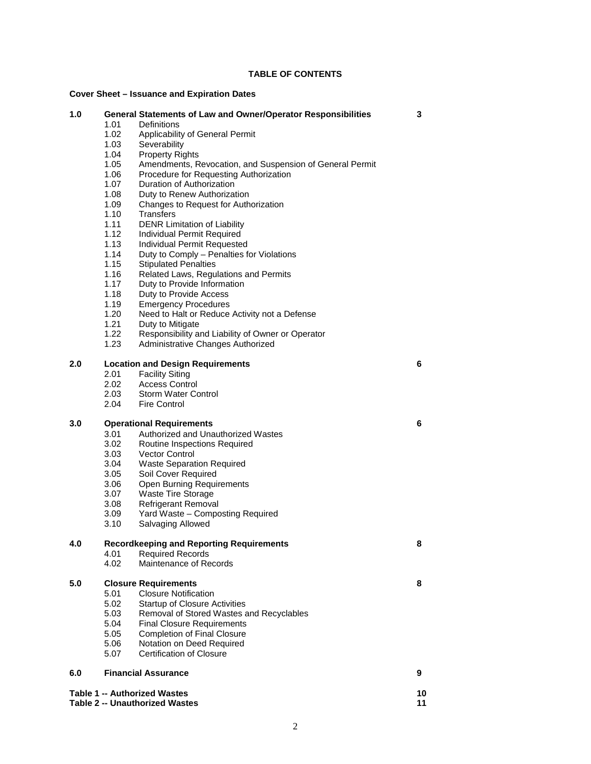## **TABLE OF CONTENTS**

## **Cover Sheet – Issuance and Expiration Dates**

| Cover Sheet – issuance and Expiration Dates |                                                      |                                                                              |   |  |  |
|---------------------------------------------|------------------------------------------------------|------------------------------------------------------------------------------|---|--|--|
| 1.0                                         | 1.01                                                 | General Statements of Law and Owner/Operator Responsibilities<br>Definitions | 3 |  |  |
|                                             | 1.02                                                 | Applicability of General Permit                                              |   |  |  |
|                                             | 1.03                                                 | Severability                                                                 |   |  |  |
|                                             | 1.04                                                 | <b>Property Rights</b>                                                       |   |  |  |
|                                             | 1.05                                                 | Amendments, Revocation, and Suspension of General Permit                     |   |  |  |
|                                             | 1.06                                                 | Procedure for Requesting Authorization                                       |   |  |  |
|                                             | 1.07                                                 | Duration of Authorization                                                    |   |  |  |
|                                             | 1.08                                                 | Duty to Renew Authorization                                                  |   |  |  |
|                                             | 1.09                                                 | Changes to Request for Authorization                                         |   |  |  |
|                                             | 1.10                                                 | <b>Transfers</b>                                                             |   |  |  |
|                                             | 1.11                                                 | <b>DENR Limitation of Liability</b>                                          |   |  |  |
|                                             | 1.12                                                 | Individual Permit Required                                                   |   |  |  |
|                                             | 1.13                                                 | Individual Permit Requested                                                  |   |  |  |
|                                             | 1.14                                                 | Duty to Comply - Penalties for Violations                                    |   |  |  |
|                                             | 1.15                                                 |                                                                              |   |  |  |
|                                             | 1.16                                                 | <b>Stipulated Penalties</b>                                                  |   |  |  |
|                                             | 1.17                                                 | Related Laws, Regulations and Permits<br>Duty to Provide Information         |   |  |  |
|                                             | 1.18                                                 | Duty to Provide Access                                                       |   |  |  |
|                                             |                                                      |                                                                              |   |  |  |
|                                             | 1.19                                                 | <b>Emergency Procedures</b>                                                  |   |  |  |
|                                             | 1.20                                                 | Need to Halt or Reduce Activity not a Defense                                |   |  |  |
|                                             | 1.21                                                 | Duty to Mitigate                                                             |   |  |  |
|                                             | 1.22                                                 | Responsibility and Liability of Owner or Operator                            |   |  |  |
|                                             | 1.23                                                 | Administrative Changes Authorized                                            |   |  |  |
| 2.0                                         |                                                      | <b>Location and Design Requirements</b>                                      | 6 |  |  |
|                                             | 2.01                                                 | <b>Facility Siting</b>                                                       |   |  |  |
|                                             | 2.02                                                 | <b>Access Control</b>                                                        |   |  |  |
|                                             | 2.03                                                 | <b>Storm Water Control</b>                                                   |   |  |  |
|                                             | 2.04                                                 | <b>Fire Control</b>                                                          |   |  |  |
| 3.0                                         | <b>Operational Requirements</b>                      |                                                                              | 6 |  |  |
|                                             | 3.01                                                 | Authorized and Unauthorized Wastes                                           |   |  |  |
|                                             | 3.02                                                 | Routine Inspections Required                                                 |   |  |  |
|                                             | 3.03                                                 | <b>Vector Control</b>                                                        |   |  |  |
|                                             | 3.04                                                 | <b>Waste Separation Required</b>                                             |   |  |  |
|                                             | 3.05                                                 | Soil Cover Required                                                          |   |  |  |
|                                             | 3.06                                                 | Open Burning Requirements                                                    |   |  |  |
|                                             | 3.07                                                 | <b>Waste Tire Storage</b>                                                    |   |  |  |
|                                             | 3.08                                                 | <b>Refrigerant Removal</b>                                                   |   |  |  |
|                                             | 3.09                                                 | Yard Waste - Composting Required                                             |   |  |  |
|                                             | 3.10                                                 | Salvaging Allowed                                                            |   |  |  |
| 4.0                                         | <b>Recordkeeping and Reporting Requirements</b><br>8 |                                                                              |   |  |  |
|                                             | 4.01                                                 | <b>Required Records</b>                                                      |   |  |  |
|                                             | 4.02                                                 | Maintenance of Records                                                       |   |  |  |
| 5.0                                         |                                                      | <b>Closure Requirements</b>                                                  | 8 |  |  |
|                                             | 5.01                                                 | <b>Closure Notification</b>                                                  |   |  |  |
|                                             | 5.02                                                 | <b>Startup of Closure Activities</b>                                         |   |  |  |
|                                             | 5.03                                                 | Removal of Stored Wastes and Recyclables                                     |   |  |  |
|                                             | 5.04                                                 | <b>Final Closure Requirements</b>                                            |   |  |  |
|                                             | 5.05                                                 | <b>Completion of Final Closure</b>                                           |   |  |  |
|                                             | 5.06                                                 | Notation on Deed Required                                                    |   |  |  |
|                                             | 5.07                                                 | <b>Certification of Closure</b>                                              |   |  |  |
| 6.0                                         |                                                      | <b>Financial Assurance</b>                                                   | 9 |  |  |
|                                             |                                                      |                                                                              |   |  |  |
| <b>Table 1 -- Authorized Wastes</b><br>10   |                                                      |                                                                              |   |  |  |

**Table 2 -- Unauthorized Wastes 11**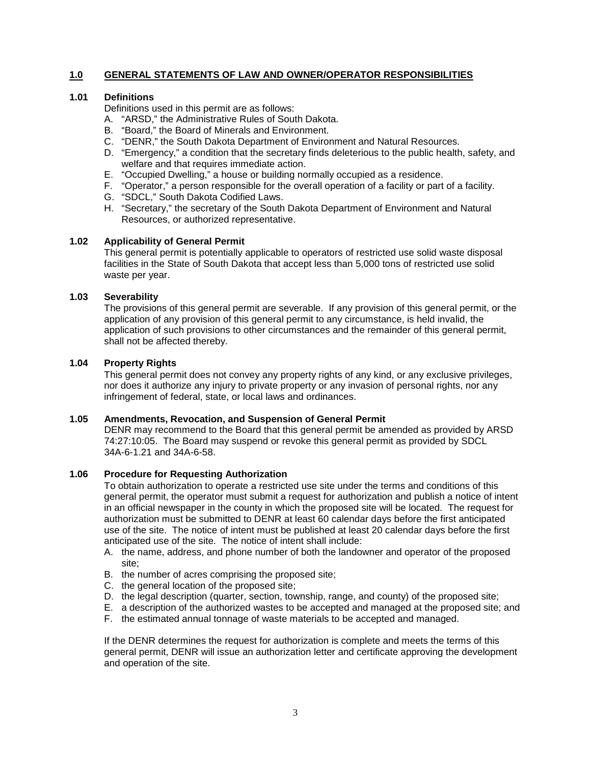## **1.0 GENERAL STATEMENTS OF LAW AND OWNER/OPERATOR RESPONSIBILITIES**

#### **1.01 Definitions**

Definitions used in this permit are as follows:

- A. "ARSD," the Administrative Rules of South Dakota.
- B. "Board," the Board of Minerals and Environment.
- C. "DENR," the South Dakota Department of Environment and Natural Resources.
- D. "Emergency," a condition that the secretary finds deleterious to the public health, safety, and welfare and that requires immediate action.
- E. "Occupied Dwelling," a house or building normally occupied as a residence.
- F. "Operator," a person responsible for the overall operation of a facility or part of a facility.
- G. "SDCL," South Dakota Codified Laws.
- H. "Secretary," the secretary of the South Dakota Department of Environment and Natural Resources, or authorized representative.

#### **1.02 Applicability of General Permit**

This general permit is potentially applicable to operators of restricted use solid waste disposal facilities in the State of South Dakota that accept less than 5,000 tons of restricted use solid waste per year.

## **1.03 Severability**

The provisions of this general permit are severable. If any provision of this general permit, or the application of any provision of this general permit to any circumstance, is held invalid, the application of such provisions to other circumstances and the remainder of this general permit, shall not be affected thereby.

#### **1.04 Property Rights**

This general permit does not convey any property rights of any kind, or any exclusive privileges, nor does it authorize any injury to private property or any invasion of personal rights, nor any infringement of federal, state, or local laws and ordinances.

## **1.05 Amendments, Revocation, and Suspension of General Permit**

DENR may recommend to the Board that this general permit be amended as provided by ARSD 74:27:10:05. The Board may suspend or revoke this general permit as provided by SDCL 34A-6-1.21 and 34A-6-58.

#### **1.06 Procedure for Requesting Authorization**

To obtain authorization to operate a restricted use site under the terms and conditions of this general permit, the operator must submit a request for authorization and publish a notice of intent in an official newspaper in the county in which the proposed site will be located. The request for authorization must be submitted to DENR at least 60 calendar days before the first anticipated use of the site. The notice of intent must be published at least 20 calendar days before the first anticipated use of the site. The notice of intent shall include:

- A. the name, address, and phone number of both the landowner and operator of the proposed site;
- B. the number of acres comprising the proposed site;
- C. the general location of the proposed site;
- D. the legal description (quarter, section, township, range, and county) of the proposed site;
- E. a description of the authorized wastes to be accepted and managed at the proposed site; and
- F. the estimated annual tonnage of waste materials to be accepted and managed.

If the DENR determines the request for authorization is complete and meets the terms of this general permit, DENR will issue an authorization letter and certificate approving the development and operation of the site.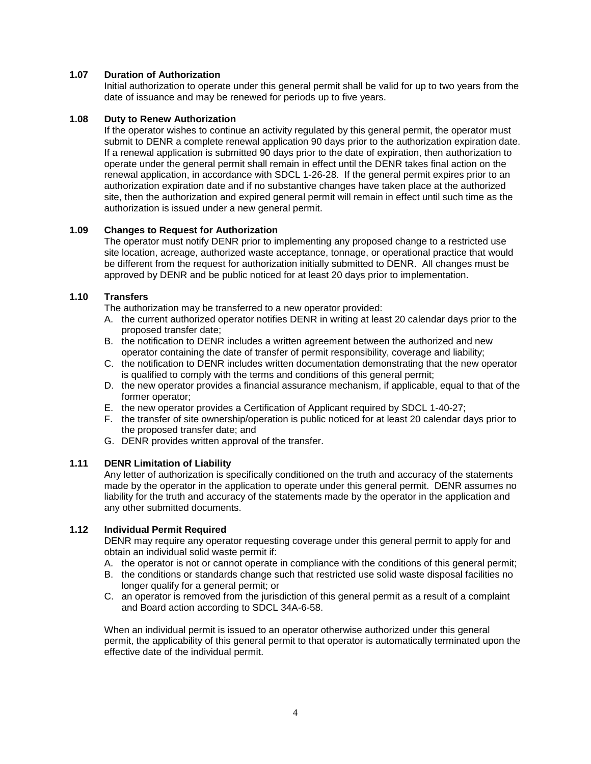## **1.07 Duration of Authorization**

Initial authorization to operate under this general permit shall be valid for up to two years from the date of issuance and may be renewed for periods up to five years.

## **1.08 Duty to Renew Authorization**

If the operator wishes to continue an activity regulated by this general permit, the operator must submit to DENR a complete renewal application 90 days prior to the authorization expiration date. If a renewal application is submitted 90 days prior to the date of expiration, then authorization to operate under the general permit shall remain in effect until the DENR takes final action on the renewal application, in accordance with SDCL 1-26-28. If the general permit expires prior to an authorization expiration date and if no substantive changes have taken place at the authorized site, then the authorization and expired general permit will remain in effect until such time as the authorization is issued under a new general permit.

## **1.09 Changes to Request for Authorization**

The operator must notify DENR prior to implementing any proposed change to a restricted use site location, acreage, authorized waste acceptance, tonnage, or operational practice that would be different from the request for authorization initially submitted to DENR. All changes must be approved by DENR and be public noticed for at least 20 days prior to implementation.

## **1.10 Transfers**

The authorization may be transferred to a new operator provided:

- A. the current authorized operator notifies DENR in writing at least 20 calendar days prior to the proposed transfer date;
- B. the notification to DENR includes a written agreement between the authorized and new operator containing the date of transfer of permit responsibility, coverage and liability;
- C. the notification to DENR includes written documentation demonstrating that the new operator is qualified to comply with the terms and conditions of this general permit;
- D. the new operator provides a financial assurance mechanism, if applicable, equal to that of the former operator;
- E. the new operator provides a Certification of Applicant required by SDCL 1-40-27;
- F. the transfer of site ownership/operation is public noticed for at least 20 calendar days prior to the proposed transfer date; and
- G. DENR provides written approval of the transfer.

#### **1.11 DENR Limitation of Liability**

Any letter of authorization is specifically conditioned on the truth and accuracy of the statements made by the operator in the application to operate under this general permit. DENR assumes no liability for the truth and accuracy of the statements made by the operator in the application and any other submitted documents.

#### **1.12 Individual Permit Required**

DENR may require any operator requesting coverage under this general permit to apply for and obtain an individual solid waste permit if:

- A. the operator is not or cannot operate in compliance with the conditions of this general permit;
- B. the conditions or standards change such that restricted use solid waste disposal facilities no longer qualify for a general permit; or
- C. an operator is removed from the jurisdiction of this general permit as a result of a complaint and Board action according to SDCL 34A-6-58.

When an individual permit is issued to an operator otherwise authorized under this general permit, the applicability of this general permit to that operator is automatically terminated upon the effective date of the individual permit.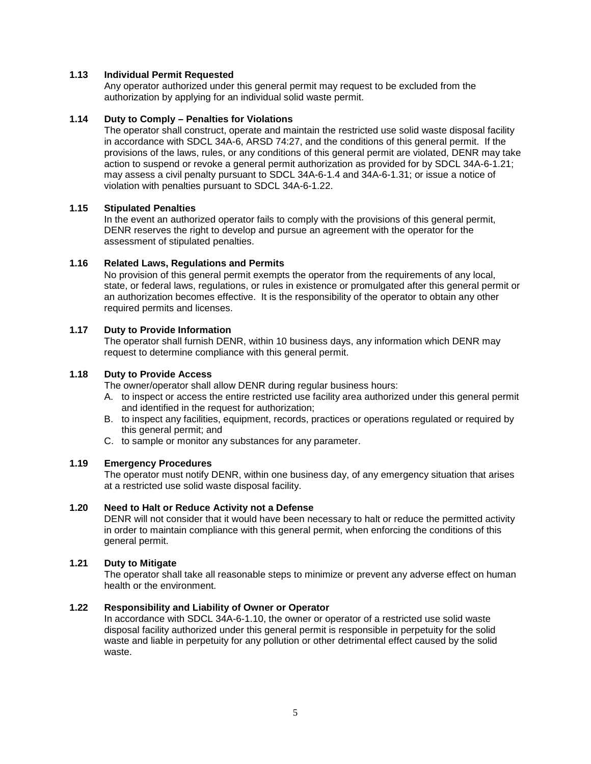## **1.13 Individual Permit Requested**

Any operator authorized under this general permit may request to be excluded from the authorization by applying for an individual solid waste permit.

#### **1.14 Duty to Comply – Penalties for Violations**

The operator shall construct, operate and maintain the restricted use solid waste disposal facility in accordance with SDCL 34A-6, ARSD 74:27, and the conditions of this general permit. If the provisions of the laws, rules, or any conditions of this general permit are violated, DENR may take action to suspend or revoke a general permit authorization as provided for by SDCL 34A-6-1.21; may assess a civil penalty pursuant to SDCL 34A-6-1.4 and 34A-6-1.31; or issue a notice of violation with penalties pursuant to SDCL 34A-6-1.22.

## **1.15 Stipulated Penalties**

In the event an authorized operator fails to comply with the provisions of this general permit, DENR reserves the right to develop and pursue an agreement with the operator for the assessment of stipulated penalties.

#### **1.16 Related Laws, Regulations and Permits**

No provision of this general permit exempts the operator from the requirements of any local, state, or federal laws, regulations, or rules in existence or promulgated after this general permit or an authorization becomes effective. It is the responsibility of the operator to obtain any other required permits and licenses.

## **1.17 Duty to Provide Information**

The operator shall furnish DENR, within 10 business days, any information which DENR may request to determine compliance with this general permit.

#### **1.18 Duty to Provide Access**

The owner/operator shall allow DENR during regular business hours:

- A. to inspect or access the entire restricted use facility area authorized under this general permit and identified in the request for authorization;
- B. to inspect any facilities, equipment, records, practices or operations regulated or required by this general permit; and
- C. to sample or monitor any substances for any parameter.

#### **1.19 Emergency Procedures**

The operator must notify DENR, within one business day, of any emergency situation that arises at a restricted use solid waste disposal facility.

#### **1.20 Need to Halt or Reduce Activity not a Defense**

DENR will not consider that it would have been necessary to halt or reduce the permitted activity in order to maintain compliance with this general permit, when enforcing the conditions of this general permit.

#### **1.21 Duty to Mitigate**

The operator shall take all reasonable steps to minimize or prevent any adverse effect on human health or the environment.

#### **1.22 Responsibility and Liability of Owner or Operator**

In accordance with SDCL 34A-6-1.10, the owner or operator of a restricted use solid waste disposal facility authorized under this general permit is responsible in perpetuity for the solid waste and liable in perpetuity for any pollution or other detrimental effect caused by the solid waste.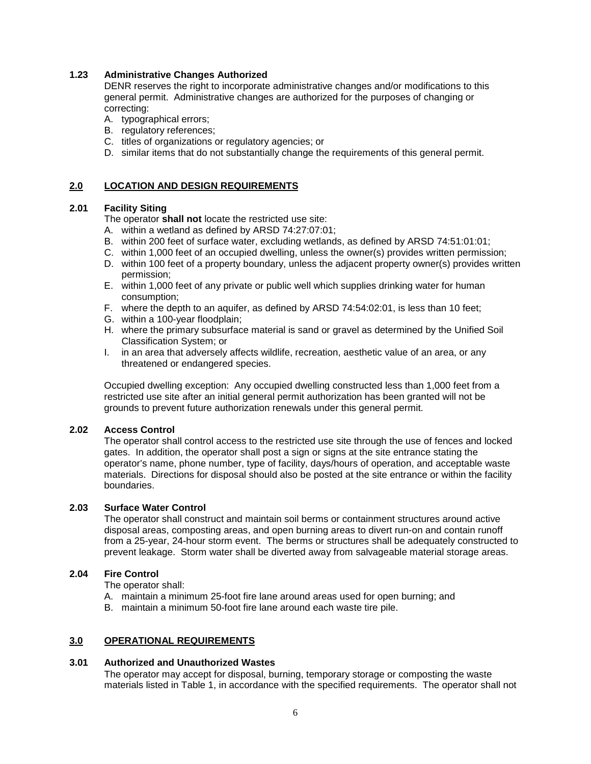## **1.23 Administrative Changes Authorized**

DENR reserves the right to incorporate administrative changes and/or modifications to this general permit. Administrative changes are authorized for the purposes of changing or correcting:

- A. typographical errors;
- B. regulatory references;
- C. titles of organizations or regulatory agencies; or
- D. similar items that do not substantially change the requirements of this general permit.

## **2.0 LOCATION AND DESIGN REQUIREMENTS**

## **2.01 Facility Siting**

The operator **shall not** locate the restricted use site:

- A. within a wetland as defined by ARSD 74:27:07:01;
- B. within 200 feet of surface water, excluding wetlands, as defined by ARSD 74:51:01:01;
- C. within 1,000 feet of an occupied dwelling, unless the owner(s) provides written permission;
- D. within 100 feet of a property boundary, unless the adjacent property owner(s) provides written permission;
- E. within 1,000 feet of any private or public well which supplies drinking water for human consumption;
- F. where the depth to an aquifer, as defined by ARSD 74:54:02:01, is less than 10 feet;
- G. within a 100-year floodplain;
- H. where the primary subsurface material is sand or gravel as determined by the Unified Soil Classification System; or
- I. in an area that adversely affects wildlife, recreation, aesthetic value of an area, or any threatened or endangered species.

Occupied dwelling exception: Any occupied dwelling constructed less than 1,000 feet from a restricted use site after an initial general permit authorization has been granted will not be grounds to prevent future authorization renewals under this general permit.

#### **2.02 Access Control**

The operator shall control access to the restricted use site through the use of fences and locked gates. In addition, the operator shall post a sign or signs at the site entrance stating the operator's name, phone number, type of facility, days/hours of operation, and acceptable waste materials. Directions for disposal should also be posted at the site entrance or within the facility boundaries.

#### **2.03 Surface Water Control**

The operator shall construct and maintain soil berms or containment structures around active disposal areas, composting areas, and open burning areas to divert run-on and contain runoff from a 25-year, 24-hour storm event. The berms or structures shall be adequately constructed to prevent leakage. Storm water shall be diverted away from salvageable material storage areas.

## **2.04 Fire Control**

The operator shall:

- A. maintain a minimum 25-foot fire lane around areas used for open burning; and
- B. maintain a minimum 50-foot fire lane around each waste tire pile.

#### **3.0 OPERATIONAL REQUIREMENTS**

#### **3.01 Authorized and Unauthorized Wastes**

The operator may accept for disposal, burning, temporary storage or composting the waste materials listed in Table 1, in accordance with the specified requirements. The operator shall not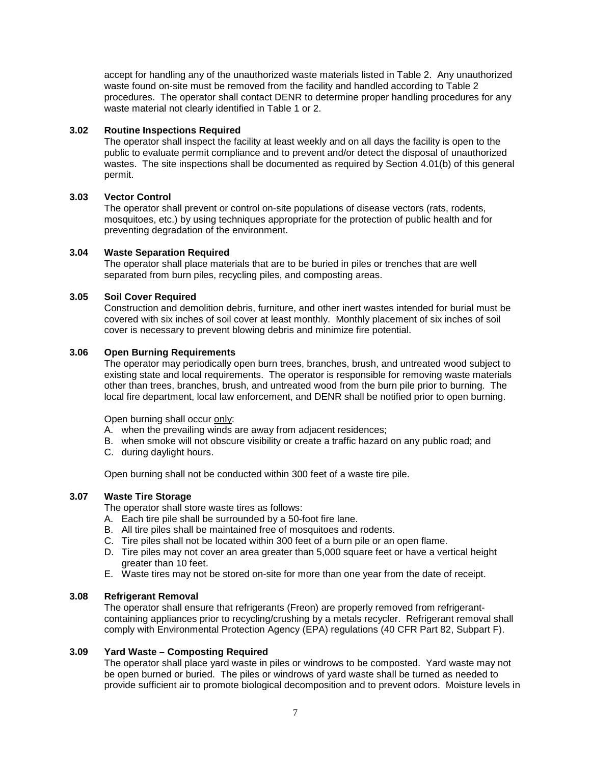accept for handling any of the unauthorized waste materials listed in Table 2. Any unauthorized waste found on-site must be removed from the facility and handled according to Table 2 procedures. The operator shall contact DENR to determine proper handling procedures for any waste material not clearly identified in Table 1 or 2.

### **3.02 Routine Inspections Required**

The operator shall inspect the facility at least weekly and on all days the facility is open to the public to evaluate permit compliance and to prevent and/or detect the disposal of unauthorized wastes. The site inspections shall be documented as required by Section 4.01(b) of this general permit.

## **3.03 Vector Control**

The operator shall prevent or control on-site populations of disease vectors (rats, rodents, mosquitoes, etc.) by using techniques appropriate for the protection of public health and for preventing degradation of the environment.

#### **3.04 Waste Separation Required**

The operator shall place materials that are to be buried in piles or trenches that are well separated from burn piles, recycling piles, and composting areas.

## **3.05 Soil Cover Required**

Construction and demolition debris, furniture, and other inert wastes intended for burial must be covered with six inches of soil cover at least monthly. Monthly placement of six inches of soil cover is necessary to prevent blowing debris and minimize fire potential.

#### **3.06 Open Burning Requirements**

The operator may periodically open burn trees, branches, brush, and untreated wood subject to existing state and local requirements. The operator is responsible for removing waste materials other than trees, branches, brush, and untreated wood from the burn pile prior to burning. The local fire department, local law enforcement, and DENR shall be notified prior to open burning.

Open burning shall occur only:

- A. when the prevailing winds are away from adjacent residences;
- B. when smoke will not obscure visibility or create a traffic hazard on any public road; and
- C. during daylight hours.

Open burning shall not be conducted within 300 feet of a waste tire pile.

#### **3.07 Waste Tire Storage**

The operator shall store waste tires as follows:

- A. Each tire pile shall be surrounded by a 50-foot fire lane.
- B. All tire piles shall be maintained free of mosquitoes and rodents.
- C. Tire piles shall not be located within 300 feet of a burn pile or an open flame.
- D. Tire piles may not cover an area greater than 5,000 square feet or have a vertical height greater than 10 feet.
- E. Waste tires may not be stored on-site for more than one year from the date of receipt.

#### **3.08 Refrigerant Removal**

The operator shall ensure that refrigerants (Freon) are properly removed from refrigerantcontaining appliances prior to recycling/crushing by a metals recycler. Refrigerant removal shall comply with Environmental Protection Agency (EPA) regulations (40 CFR Part 82, Subpart F).

#### **3.09 Yard Waste – Composting Required**

The operator shall place yard waste in piles or windrows to be composted. Yard waste may not be open burned or buried. The piles or windrows of yard waste shall be turned as needed to provide sufficient air to promote biological decomposition and to prevent odors. Moisture levels in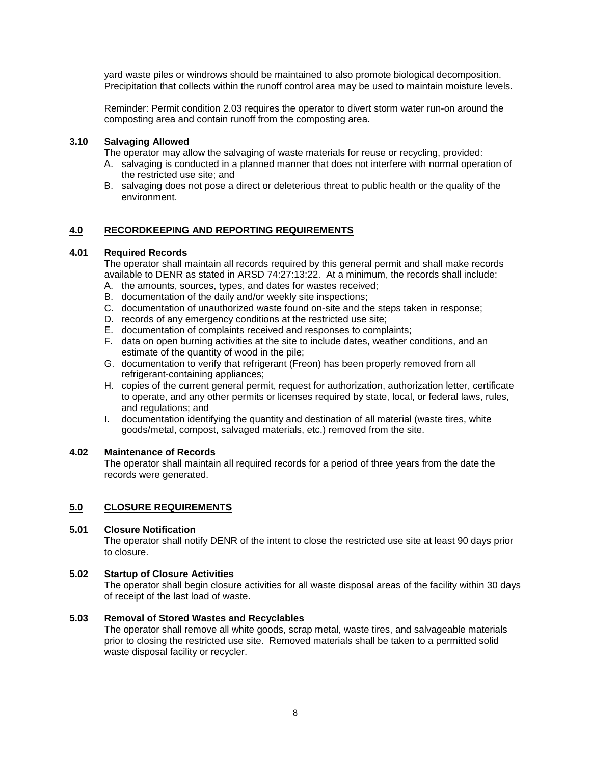yard waste piles or windrows should be maintained to also promote biological decomposition. Precipitation that collects within the runoff control area may be used to maintain moisture levels.

Reminder: Permit condition 2.03 requires the operator to divert storm water run-on around the composting area and contain runoff from the composting area.

### **3.10 Salvaging Allowed**

The operator may allow the salvaging of waste materials for reuse or recycling, provided:

- A. salvaging is conducted in a planned manner that does not interfere with normal operation of the restricted use site; and
- B. salvaging does not pose a direct or deleterious threat to public health or the quality of the environment.

## **4.0 RECORDKEEPING AND REPORTING REQUIREMENTS**

#### **4.01 Required Records**

The operator shall maintain all records required by this general permit and shall make records available to DENR as stated in ARSD 74:27:13:22. At a minimum, the records shall include:

- A. the amounts, sources, types, and dates for wastes received;
- B. documentation of the daily and/or weekly site inspections;
- C. documentation of unauthorized waste found on-site and the steps taken in response;
- D. records of any emergency conditions at the restricted use site;
- E. documentation of complaints received and responses to complaints;
- F. data on open burning activities at the site to include dates, weather conditions, and an estimate of the quantity of wood in the pile;
- G. documentation to verify that refrigerant (Freon) has been properly removed from all refrigerant-containing appliances;
- H. copies of the current general permit, request for authorization, authorization letter, certificate to operate, and any other permits or licenses required by state, local, or federal laws, rules, and regulations; and
- I. documentation identifying the quantity and destination of all material (waste tires, white goods/metal, compost, salvaged materials, etc.) removed from the site.

### **4.02 Maintenance of Records**

The operator shall maintain all required records for a period of three years from the date the records were generated.

#### **5.0 CLOSURE REQUIREMENTS**

#### **5.01 Closure Notification**

The operator shall notify DENR of the intent to close the restricted use site at least 90 days prior to closure.

#### **5.02 Startup of Closure Activities**

The operator shall begin closure activities for all waste disposal areas of the facility within 30 days of receipt of the last load of waste.

#### **5.03 Removal of Stored Wastes and Recyclables**

The operator shall remove all white goods, scrap metal, waste tires, and salvageable materials prior to closing the restricted use site. Removed materials shall be taken to a permitted solid waste disposal facility or recycler.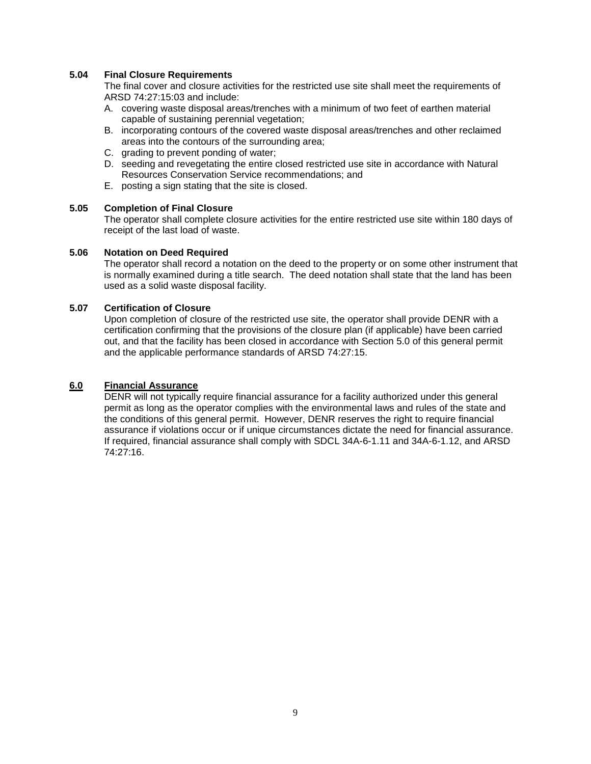## **5.04 Final Closure Requirements**

The final cover and closure activities for the restricted use site shall meet the requirements of ARSD 74:27:15:03 and include:

- A. covering waste disposal areas/trenches with a minimum of two feet of earthen material capable of sustaining perennial vegetation;
- B. incorporating contours of the covered waste disposal areas/trenches and other reclaimed areas into the contours of the surrounding area;
- C. grading to prevent ponding of water;
- D. seeding and revegetating the entire closed restricted use site in accordance with Natural Resources Conservation Service recommendations; and
- E. posting a sign stating that the site is closed.

#### **5.05 Completion of Final Closure**

The operator shall complete closure activities for the entire restricted use site within 180 days of receipt of the last load of waste.

#### **5.06 Notation on Deed Required**

The operator shall record a notation on the deed to the property or on some other instrument that is normally examined during a title search. The deed notation shall state that the land has been used as a solid waste disposal facility.

## **5.07 Certification of Closure**

Upon completion of closure of the restricted use site, the operator shall provide DENR with a certification confirming that the provisions of the closure plan (if applicable) have been carried out, and that the facility has been closed in accordance with Section 5.0 of this general permit and the applicable performance standards of ARSD 74:27:15.

#### **6.0 Financial Assurance**

DENR will not typically require financial assurance for a facility authorized under this general permit as long as the operator complies with the environmental laws and rules of the state and the conditions of this general permit. However, DENR reserves the right to require financial assurance if violations occur or if unique circumstances dictate the need for financial assurance. If required, financial assurance shall comply with SDCL 34A-6-1.11 and 34A-6-1.12, and ARSD 74:27:16.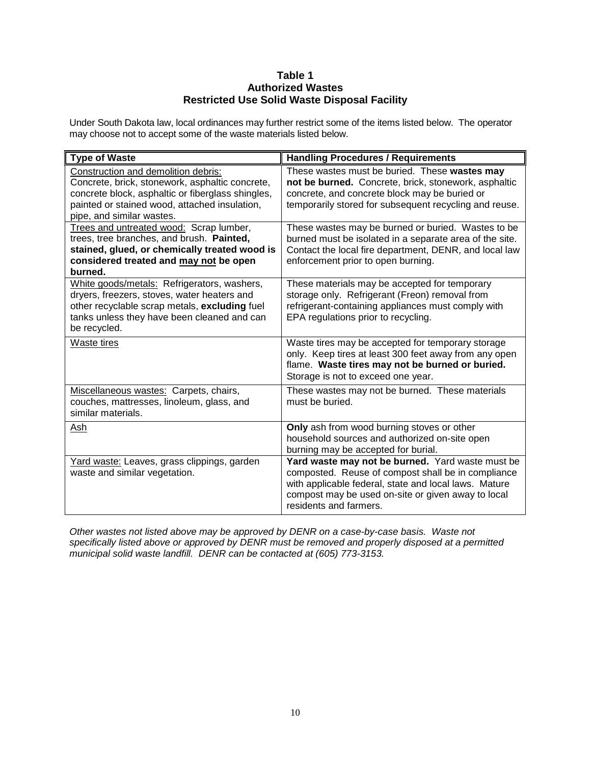# **Table 1 Authorized Wastes Restricted Use Solid Waste Disposal Facility**

Under South Dakota law, local ordinances may further restrict some of the items listed below. The operator may choose not to accept some of the waste materials listed below.

| <b>Type of Waste</b>                                                                                                                                                                                                      | <b>Handling Procedures / Requirements</b>                                                                                                                                                                                                       |
|---------------------------------------------------------------------------------------------------------------------------------------------------------------------------------------------------------------------------|-------------------------------------------------------------------------------------------------------------------------------------------------------------------------------------------------------------------------------------------------|
| Construction and demolition debris:<br>Concrete, brick, stonework, asphaltic concrete,<br>concrete block, asphaltic or fiberglass shingles,<br>painted or stained wood, attached insulation,<br>pipe, and similar wastes. | These wastes must be buried. These wastes may<br>not be burned. Concrete, brick, stonework, asphaltic<br>concrete, and concrete block may be buried or<br>temporarily stored for subsequent recycling and reuse.                                |
| Trees and untreated wood: Scrap lumber,<br>trees, tree branches, and brush. Painted,<br>stained, glued, or chemically treated wood is<br>considered treated and may not be open<br>burned.                                | These wastes may be burned or buried. Wastes to be<br>burned must be isolated in a separate area of the site.<br>Contact the local fire department, DENR, and local law<br>enforcement prior to open burning.                                   |
| White goods/metals: Refrigerators, washers,<br>dryers, freezers, stoves, water heaters and<br>other recyclable scrap metals, excluding fuel<br>tanks unless they have been cleaned and can<br>be recycled.                | These materials may be accepted for temporary<br>storage only. Refrigerant (Freon) removal from<br>refrigerant-containing appliances must comply with<br>EPA regulations prior to recycling.                                                    |
| Waste tires                                                                                                                                                                                                               | Waste tires may be accepted for temporary storage<br>only. Keep tires at least 300 feet away from any open<br>flame. Waste tires may not be burned or buried.<br>Storage is not to exceed one year.                                             |
| Miscellaneous wastes: Carpets, chairs,<br>couches, mattresses, linoleum, glass, and<br>similar materials.                                                                                                                 | These wastes may not be burned. These materials<br>must be buried.                                                                                                                                                                              |
| Ash                                                                                                                                                                                                                       | Only ash from wood burning stoves or other<br>household sources and authorized on-site open<br>burning may be accepted for burial.                                                                                                              |
| Yard waste: Leaves, grass clippings, garden<br>waste and similar vegetation.                                                                                                                                              | Yard waste may not be burned. Yard waste must be<br>composted. Reuse of compost shall be in compliance<br>with applicable federal, state and local laws. Mature<br>compost may be used on-site or given away to local<br>residents and farmers. |

*Other wastes not listed above may be approved by DENR on a case-by-case basis. Waste not specifically listed above or approved by DENR must be removed and properly disposed at a permitted municipal solid waste landfill. DENR can be contacted at (605) 773-3153.*